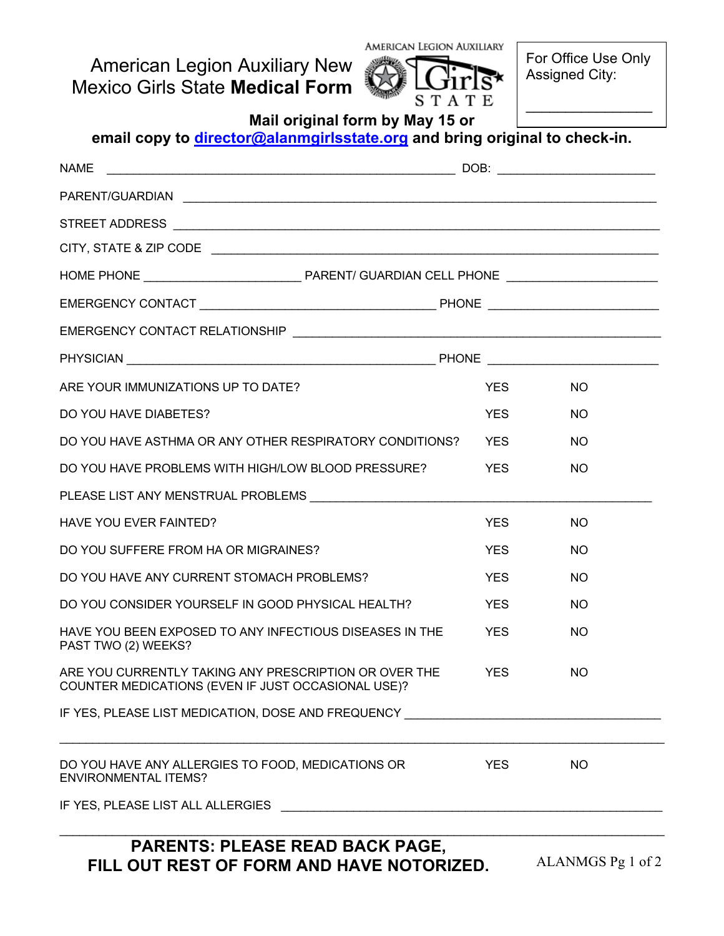American Legion Auxiliary New Mexico Girls State **Medical Form**



For Office Use Only Assigned City:

 $\frac{1}{2}$  ,  $\frac{1}{2}$  ,  $\frac{1}{2}$  ,  $\frac{1}{2}$  ,  $\frac{1}{2}$  ,  $\frac{1}{2}$  ,  $\frac{1}{2}$  ,  $\frac{1}{2}$  ,  $\frac{1}{2}$  ,  $\frac{1}{2}$ 

| Mail original form by May 15 or<br>email copy to director@alanmgirlsstate.org and bring original to check-in.   |            |           |  |
|-----------------------------------------------------------------------------------------------------------------|------------|-----------|--|
| <b>NAME</b>                                                                                                     |            |           |  |
|                                                                                                                 |            |           |  |
|                                                                                                                 |            |           |  |
|                                                                                                                 |            |           |  |
|                                                                                                                 |            |           |  |
|                                                                                                                 |            |           |  |
|                                                                                                                 |            |           |  |
|                                                                                                                 |            |           |  |
| ARE YOUR IMMUNIZATIONS UP TO DATE?                                                                              | <b>YES</b> | <b>NO</b> |  |
| DO YOU HAVE DIABETES?                                                                                           | <b>YES</b> | <b>NO</b> |  |
| DO YOU HAVE ASTHMA OR ANY OTHER RESPIRATORY CONDITIONS?                                                         | <b>YES</b> | <b>NO</b> |  |
| DO YOU HAVE PROBLEMS WITH HIGH/LOW BLOOD PRESSURE?                                                              | <b>YES</b> | <b>NO</b> |  |
|                                                                                                                 |            |           |  |
| <b>HAVE YOU EVER FAINTED?</b>                                                                                   | <b>YES</b> | <b>NO</b> |  |
| DO YOU SUFFERE FROM HA OR MIGRAINES?                                                                            | <b>YES</b> | <b>NO</b> |  |
| DO YOU HAVE ANY CURRENT STOMACH PROBLEMS?                                                                       | <b>YES</b> | <b>NO</b> |  |
| DO YOU CONSIDER YOURSELF IN GOOD PHYSICAL HEALTH?                                                               | <b>YES</b> | NO.       |  |
| HAVE YOU BEEN EXPOSED TO ANY INFECTIOUS DISEASES IN THE<br>PAST TWO (2) WEEKS?                                  | <b>YES</b> | <b>NO</b> |  |
| ARE YOU CURRENTLY TAKING ANY PRESCRIPTION OR OVER THE<br>COUNTER MEDICATIONS (EVEN IF JUST OCCASIONAL USE)?     | YES        | <b>NO</b> |  |
| IF YES, PLEASE LIST MEDICATION, DOSE AND FREQUENCY NARROW THE RESERVE RELEASED FOR A SERVE AND THE RESERVE THAN |            |           |  |
| DO YOU HAVE ANY ALLERGIES TO FOOD, MEDICATIONS OR<br><b>ENVIRONMENTAL ITEMS?</b>                                | YES        | <b>NO</b> |  |
|                                                                                                                 |            |           |  |

## **PARENTS: PLEASE READ BACK PAGE, FILL OUT REST OF FORM AND HAVE NOTORIZED.**

ALANMGS Pg 1 of 2